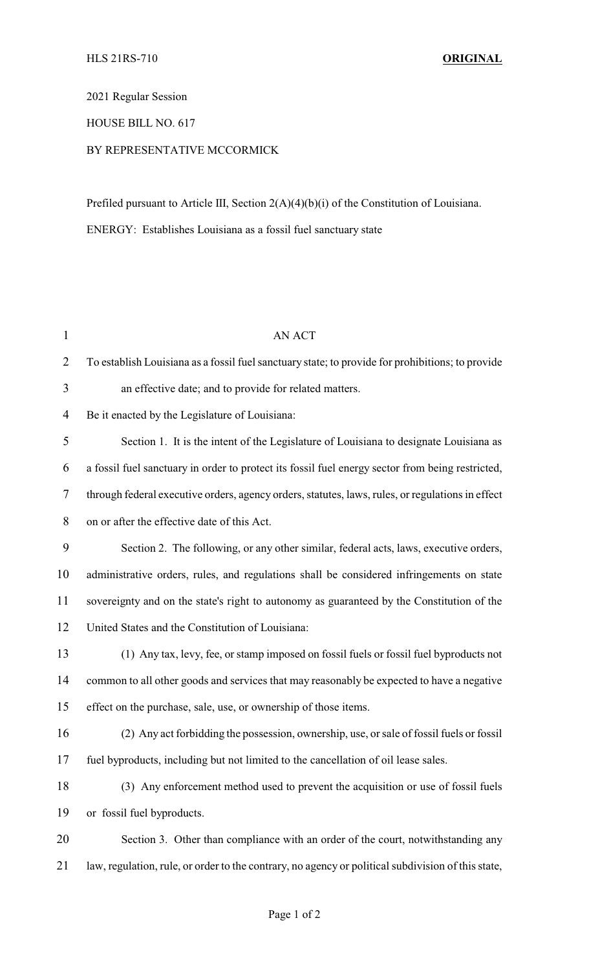## 2021 Regular Session

## HOUSE BILL NO. 617

## BY REPRESENTATIVE MCCORMICK

Prefiled pursuant to Article III, Section 2(A)(4)(b)(i) of the Constitution of Louisiana. ENERGY: Establishes Louisiana as a fossil fuel sanctuary state

| $\mathbf{1}$   | <b>AN ACT</b>                                                                                      |
|----------------|----------------------------------------------------------------------------------------------------|
| $\overline{2}$ | To establish Louisiana as a fossil fuel sanctuary state; to provide for prohibitions; to provide   |
| 3              | an effective date; and to provide for related matters.                                             |
| 4              | Be it enacted by the Legislature of Louisiana:                                                     |
| 5              | Section 1. It is the intent of the Legislature of Louisiana to designate Louisiana as              |
| 6              | a fossil fuel sanctuary in order to protect its fossil fuel energy sector from being restricted,   |
| 7              | through federal executive orders, agency orders, statutes, laws, rules, or regulations in effect   |
| 8              | on or after the effective date of this Act.                                                        |
| 9              | Section 2. The following, or any other similar, federal acts, laws, executive orders,              |
| 10             | administrative orders, rules, and regulations shall be considered infringements on state           |
| 11             | sovereignty and on the state's right to autonomy as guaranteed by the Constitution of the          |
| 12             | United States and the Constitution of Louisiana:                                                   |
| 13             | (1) Any tax, levy, fee, or stamp imposed on fossil fuels or fossil fuel byproducts not             |
| 14             | common to all other goods and services that may reasonably be expected to have a negative          |
| 15             | effect on the purchase, sale, use, or ownership of those items.                                    |
| 16             | (2) Any act forbidding the possession, ownership, use, or sale of fossil fuels or fossil           |
| 17             | fuel byproducts, including but not limited to the cancellation of oil lease sales.                 |
| 18             | (3) Any enforcement method used to prevent the acquisition or use of fossil fuels                  |
| 19             | or fossil fuel byproducts.                                                                         |
| 20             | Section 3. Other than compliance with an order of the court, notwithstanding any                   |
| 21             | law, regulation, rule, or order to the contrary, no agency or political subdivision of this state, |
|                |                                                                                                    |